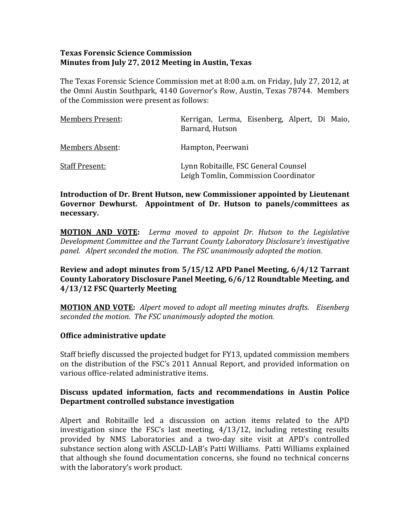#### **Texas Forensic Science Commission Minutes from July 27, 2012 Meeting in Austin, Texas**

The Texas Forensic Science Commission met at 8:00 a.m. on Friday, July 27, 2012, at he Omni Austin Southpark, 4140 Governor's Row, Austin, Texas 78744. Members t of the Commission were present as follows:

| <b>Members Present:</b> | Kerrigan, Lerma, Eisenberg, Alpert, Di Maio,<br>Barnard, Hutson              |
|-------------------------|------------------------------------------------------------------------------|
| <b>Members Absent:</b>  | Hampton, Peerwani                                                            |
| <b>Staff Present:</b>   | Lynn Robitaille, FSC General Counsel<br>Leigh Tomlin, Commission Coordinator |

#### **Introduction of Dr. Brent Hutson, new Commissioner appointed by Lieutenant Governor Dewhurst. Appointment of Dr. Hutson to panels/committees as necessary.**

**MOTION AND VOTE:**  *Lerma moved to appoint Dr. Hutson to the Legislative Development Committee and the Tarrant County Laboratory Disclosure's investigative panel. Alpert seconded the motion. The FSC unanimously adopted the motion.* 

#### **Review and adopt minutes from 5/15/12 APD Panel Meeting, 6/4/12 Tarrant County Laboratory Disclosure Panel Meeting, 6/6/12 Roundtable Meeting, and 4/13/12 FSC Quarterly Meeting**

**MOTION AND VOTE:** *Alpert moved to adopt all meeting minutes drafts. Eisenberg seconded the motion. The FSC unanimously adopted the motion.* 

#### **Office administrative update**

Staff briefly discussed the projected budget for FY13, updated commission members on the distribution of the FSC's 2011 Annual Report, and provided information on various office-related administrative items.

# **Discuss updated information, facts and recommendations in Austin Police Department controlled substance investigation**

Alpert and Robitaille led a discussion on action items related to the APD investigation since the FSC's last meeting, 4/13/12, including retesting results provided by NMS Laboratories and a two-day site visit at APD's controlled substance section along with ASCLD‐LAB's Patti Williams. Patti Williams explained hat although she found documentation concerns, she found no technical concerns t with the laboratory's work product.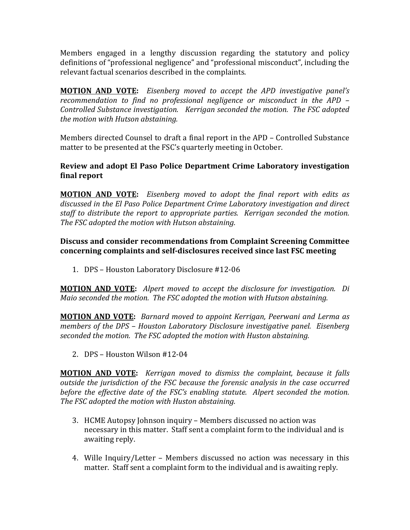Members engaged in a lengthy discussion regarding the statutory and policy definitions of "professional negligence" and "professional misconduct", including the relevant factual scenarios described in the complaints.

**MOTION AND VOTE:**  *Eisenberg moved to accept the APD investigative panel's recommendation to find no professional negligence or misconduct in the APD – Controlled Substance investigation. Kerrigan seconded the motion. The FSC adopted the motion with Hutson abstaining.* 

Members directed Counsel to draft a final report in the APD - Controlled Substance matter to be presented at the FSC's quarterly meeting in October.

### **Review and adopt El Paso Police Department Crime Laboratory investigation final report**

**MOTION AND VOTE:**  *Eisenberg moved to adopt the final report with edits as discussed in the El Paso Police Department Crime Laboratory investigation and direct taff to distribute the report to appropriate parties. Kerrigan seconded the motion. s he FSC adopted the motion with Hutson abstaining. T*

#### **Discuss and consider recommendations from Complaint Screening Committee con r ce ning complaints and selfdisclosures received since last FSC meeting**

1. DPS – Houston Laboratory Disclosure #12‐06

**MOTION AND VOTE:**  *Alpert moved to accept the disclosure for investigation. Di Maio seconded the motion. The FSC adopted the motion with Hutson abstaining.* 

**MOTION AND VOTE:** *Barnard moved to appoint Kerrigan, Peerwani and Lerma as members of the DPS – Houston Laboratory Disclosure investigative panel. Eisenberg seco de n d the motion. The FSC adopted the motion with Huston abstaining.* 

2. DPS – Houston Wilson #12‐04

**MOTION AND VOTE:**  *Kerrigan moved to dismiss the complaint, because it falls outside the jurisdiction of the FSC because the forensic analysis in the case occurred efore the effective date of the FSC's enabling statute. Alpert seconded the motion. b he SC T F adopted the motion with Huston abstaining.* 

- 3. HCME Autopsy Johnson inquiry Members discussed no action was necessary in this matter. Staff sent a complaint form to the individual and is awaiting reply.
- 4. Wille Inquiry/Letter Members discussed no action was necessary in this matter. Staff sent a complaint form to the individual and is awaiting reply.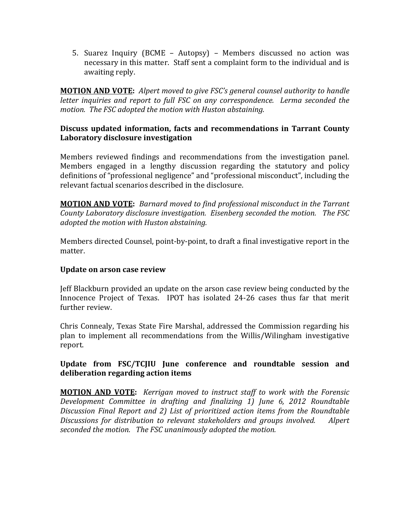5. Suarez Inquiry (BCME – Autopsy) – Members discussed no action was necessary in this matter. Staff sent a complaint form to the individual and is awaiting reply.

**MOTION AND VOTE:** *Alpert moved to give FSC's general counsel authority to handle letter inquiries and report to full FSC on any correspondence. Lerma seconded the motion. The FSC adopted the motion with Huston abstaining.* 

#### **Discuss updated information, facts and recommendations in Tarrant County Laboratory disclosure investigation**

Members reviewed findings and recommendations from the investigation panel. Members engaged in a lengthy discussion regarding the statutory and policy definitions of "professional negligence" and "professional misconduct", including the relevant factual scenarios described in the disclosure.

**MOTION AND VOTE:** *Barnard moved to find professional misconduct in the Tarrant County Laboratory disclosure investigation. Eisenberg seconded the motion. The FSC adopted the motion with Huston abstaining.* 

Members directed Counsel, point-by-point, to draft a final investigative report in the matter.

#### **Update on arson case review**

Jeff Blackburn provided an update on the arson case review being conducted by the Innocence Project of Texas. IPOT has isolated 24-26 cases thus far that merit further review.

Chris Connealy, Texas State Fire Marshal, addressed the Commission regarding his plan to implement all recommendations from the Willis/Wilingham investigative report.

#### **Update from FSC/TCJIU June conference and roundtable session and deliberation regarding action items**

**MOTION AND VOTE:**  *Kerrigan moved to instruct staff to work with the Forensic Development Committee in drafting and finalizing 1) June 6, 2012 Roundtable Discussion Final Report and 2) List of prioritized action items from the Roundtable Discussions for distribution to relevant stakeholders and groups involved. Alpert seconded the motion. The FSC unanimously adopted the motion.*